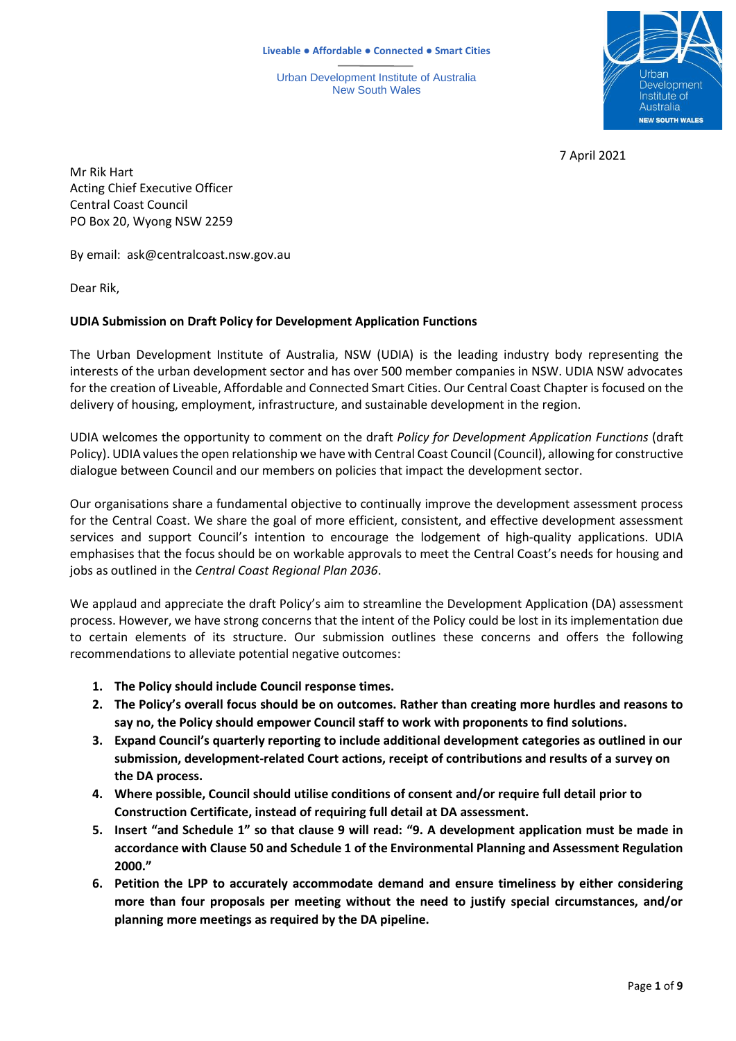Urban Development Institute of Australia New South Wales



7 April 2021

Mr Rik Hart Acting Chief Executive Officer Central Coast Council PO Box 20, Wyong NSW 2259

By email: ask@centralcoast.nsw.gov.au

Dear Rik,

# **UDIA Submission on Draft Policy for Development Application Functions**

The Urban Development Institute of Australia, NSW (UDIA) is the leading industry body representing the interests of the urban development sector and has over 500 member companies in NSW. UDIA NSW advocates for the creation of Liveable, Affordable and Connected Smart Cities. Our Central Coast Chapter is focused on the delivery of housing, employment, infrastructure, and sustainable development in the region.

UDIA welcomes the opportunity to comment on the draft *Policy for Development Application Functions* (draft Policy). UDIA values the open relationship we have with Central Coast Council (Council), allowing for constructive dialogue between Council and our members on policies that impact the development sector.

Our organisations share a fundamental objective to continually improve the development assessment process for the Central Coast. We share the goal of more efficient, consistent, and effective development assessment services and support Council's intention to encourage the lodgement of high-quality applications. UDIA emphasises that the focus should be on workable approvals to meet the Central Coast's needs for housing and jobs as outlined in the *Central Coast Regional Plan 2036*.

We applaud and appreciate the draft Policy's aim to streamline the Development Application (DA) assessment process. However, we have strong concerns that the intent of the Policy could be lost in its implementation due to certain elements of its structure. Our submission outlines these concerns and offers the following recommendations to alleviate potential negative outcomes:

- **1. The Policy should include Council response times.**
- **2. The Policy's overall focus should be on outcomes. Rather than creating more hurdles and reasons to say no, the Policy should empower Council staff to work with proponents to find solutions.**
- **3. Expand Council's quarterly reporting to include additional development categories as outlined in our submission, development-related Court actions, receipt of contributions and results of a survey on the DA process.**
- **4. Where possible, Council should utilise conditions of consent and/or require full detail prior to Construction Certificate, instead of requiring full detail at DA assessment.**
- **5. Insert "and Schedule 1" so that clause 9 will read: "9. A development application must be made in accordance with Clause 50 and Schedule 1 of the Environmental Planning and Assessment Regulation 2000."**
- **6. Petition the LPP to accurately accommodate demand and ensure timeliness by either considering more than four proposals per meeting without the need to justify special circumstances, and/or planning more meetings as required by the DA pipeline.**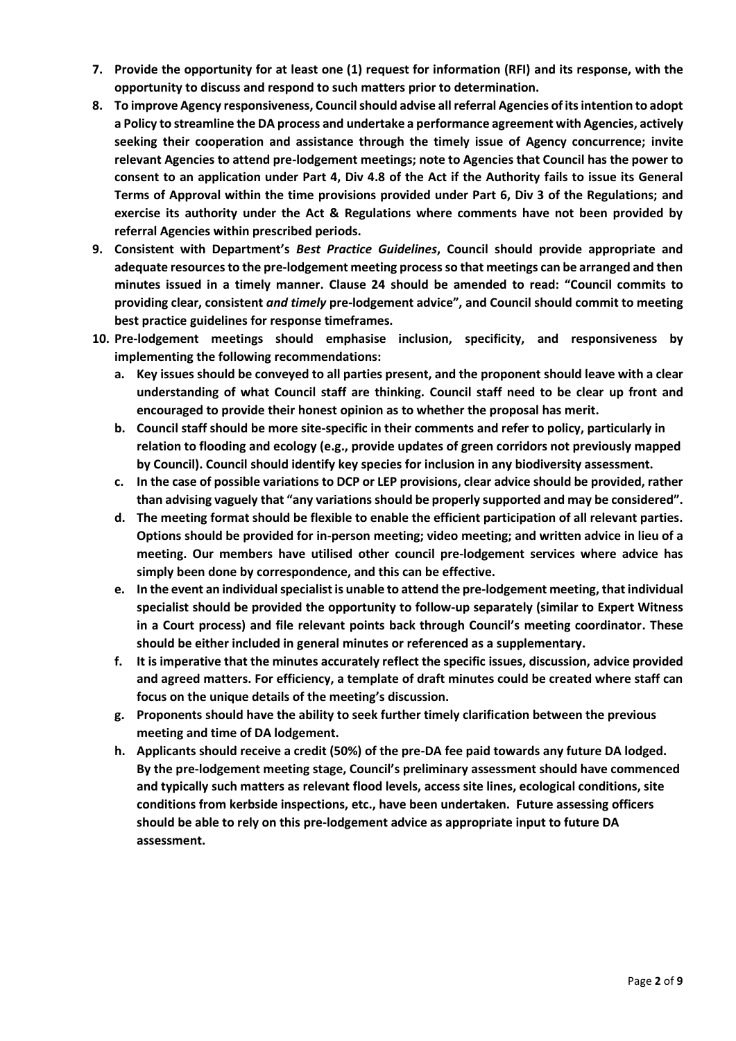- **7. Provide the opportunity for at least one (1) request for information (RFI) and its response, with the opportunity to discuss and respond to such matters prior to determination.**
- **8. To improve Agency responsiveness, Council should advise all referral Agencies of its intention to adopt a Policy to streamline the DA process and undertake a performance agreement with Agencies, actively seeking their cooperation and assistance through the timely issue of Agency concurrence; invite relevant Agencies to attend pre-lodgement meetings; note to Agencies that Council has the power to consent to an application under Part 4, Div 4.8 of the Act if the Authority fails to issue its General Terms of Approval within the time provisions provided under Part 6, Div 3 of the Regulations; and exercise its authority under the Act & Regulations where comments have not been provided by referral Agencies within prescribed periods.**
- **9. Consistent with Department's** *Best Practice Guidelines***, Council should provide appropriate and adequate resources to the pre-lodgement meeting process so that meetings can be arranged and then minutes issued in a timely manner. Clause 24 should be amended to read: "Council commits to providing clear, consistent** *and timely* **pre-lodgement advice", and Council should commit to meeting best practice guidelines for response timeframes.**
- **10. Pre-lodgement meetings should emphasise inclusion, specificity, and responsiveness by implementing the following recommendations:**
	- **a. Key issues should be conveyed to all parties present, and the proponent should leave with a clear understanding of what Council staff are thinking. Council staff need to be clear up front and encouraged to provide their honest opinion as to whether the proposal has merit.**
	- **b. Council staff should be more site-specific in their comments and refer to policy, particularly in relation to flooding and ecology (e.g., provide updates of green corridors not previously mapped by Council). Council should identify key species for inclusion in any biodiversity assessment.**
	- **c. In the case of possible variations to DCP or LEP provisions, clear advice should be provided, rather than advising vaguely that "any variations should be properly supported and may be considered".**
	- **d. The meeting format should be flexible to enable the efficient participation of all relevant parties. Options should be provided for in-person meeting; video meeting; and written advice in lieu of a meeting. Our members have utilised other council pre-lodgement services where advice has simply been done by correspondence, and this can be effective.**
	- **e. In the event an individual specialist is unable to attend the pre-lodgement meeting, that individual specialist should be provided the opportunity to follow-up separately (similar to Expert Witness in a Court process) and file relevant points back through Council's meeting coordinator. These should be either included in general minutes or referenced as a supplementary.**
	- **f. It is imperative that the minutes accurately reflect the specific issues, discussion, advice provided and agreed matters. For efficiency, a template of draft minutes could be created where staff can focus on the unique details of the meeting's discussion.**
	- **g. Proponents should have the ability to seek further timely clarification between the previous meeting and time of DA lodgement.**
	- **h. Applicants should receive a credit (50%) of the pre-DA fee paid towards any future DA lodged. By the pre-lodgement meeting stage, Council's preliminary assessment should have commenced and typically such matters as relevant flood levels, access site lines, ecological conditions, site conditions from kerbside inspections, etc., have been undertaken. Future assessing officers should be able to rely on this pre-lodgement advice as appropriate input to future DA assessment.**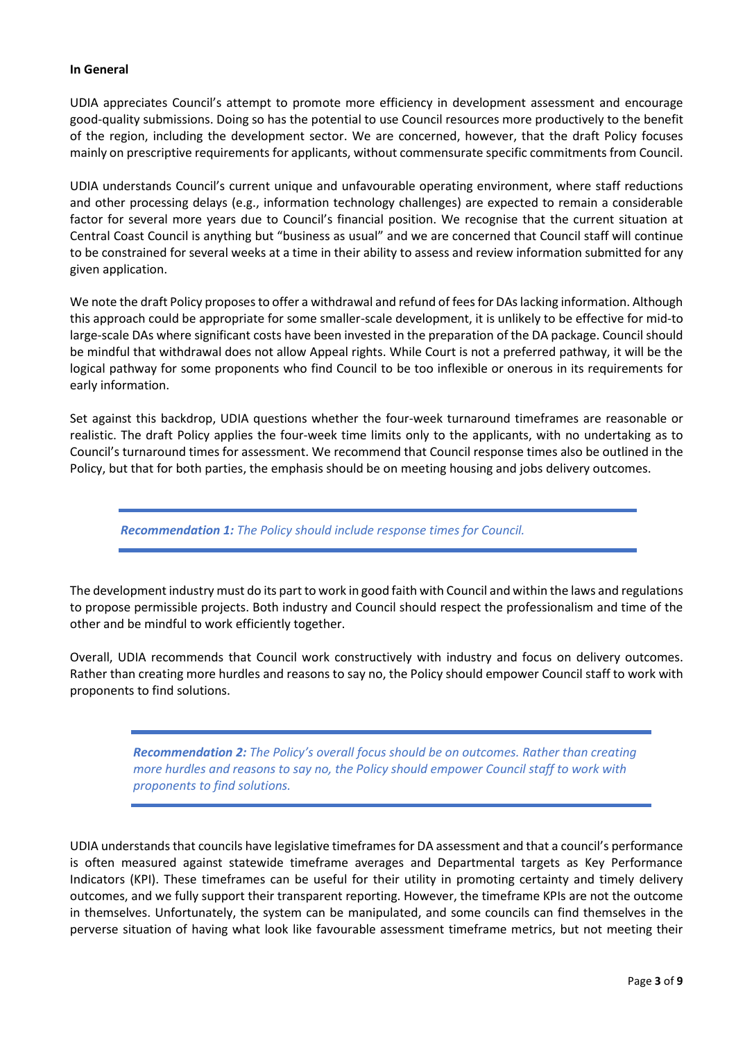#### **In General**

UDIA appreciates Council's attempt to promote more efficiency in development assessment and encourage good-quality submissions. Doing so has the potential to use Council resources more productively to the benefit of the region, including the development sector. We are concerned, however, that the draft Policy focuses mainly on prescriptive requirements for applicants, without commensurate specific commitments from Council.

UDIA understands Council's current unique and unfavourable operating environment, where staff reductions and other processing delays (e.g., information technology challenges) are expected to remain a considerable factor for several more years due to Council's financial position. We recognise that the current situation at Central Coast Council is anything but "business as usual" and we are concerned that Council staff will continue to be constrained for several weeks at a time in their ability to assess and review information submitted for any given application.

We note the draft Policy proposes to offer a withdrawal and refund of fees for DAs lacking information. Although this approach could be appropriate for some smaller-scale development, it is unlikely to be effective for mid-to large-scale DAs where significant costs have been invested in the preparation of the DA package. Council should be mindful that withdrawal does not allow Appeal rights. While Court is not a preferred pathway, it will be the logical pathway for some proponents who find Council to be too inflexible or onerous in its requirements for early information.

Set against this backdrop, UDIA questions whether the four-week turnaround timeframes are reasonable or realistic. The draft Policy applies the four-week time limits only to the applicants, with no undertaking as to Council's turnaround times for assessment. We recommend that Council response times also be outlined in the Policy, but that for both parties, the emphasis should be on meeting housing and jobs delivery outcomes.

*Recommendation 1: The Policy should include response times for Council.*

The development industry must do its part to work in good faith with Council and within the laws and regulations to propose permissible projects. Both industry and Council should respect the professionalism and time of the other and be mindful to work efficiently together.

Overall, UDIA recommends that Council work constructively with industry and focus on delivery outcomes. Rather than creating more hurdles and reasons to say no, the Policy should empower Council staff to work with proponents to find solutions.

> *Recommendation 2: The Policy's overall focus should be on outcomes. Rather than creating more hurdles and reasons to say no, the Policy should empower Council staff to work with proponents to find solutions.*

UDIA understands that councils have legislative timeframes for DA assessment and that a council's performance is often measured against statewide timeframe averages and Departmental targets as Key Performance Indicators (KPI). These timeframes can be useful for their utility in promoting certainty and timely delivery outcomes, and we fully support their transparent reporting. However, the timeframe KPIs are not the outcome in themselves. Unfortunately, the system can be manipulated, and some councils can find themselves in the perverse situation of having what look like favourable assessment timeframe metrics, but not meeting their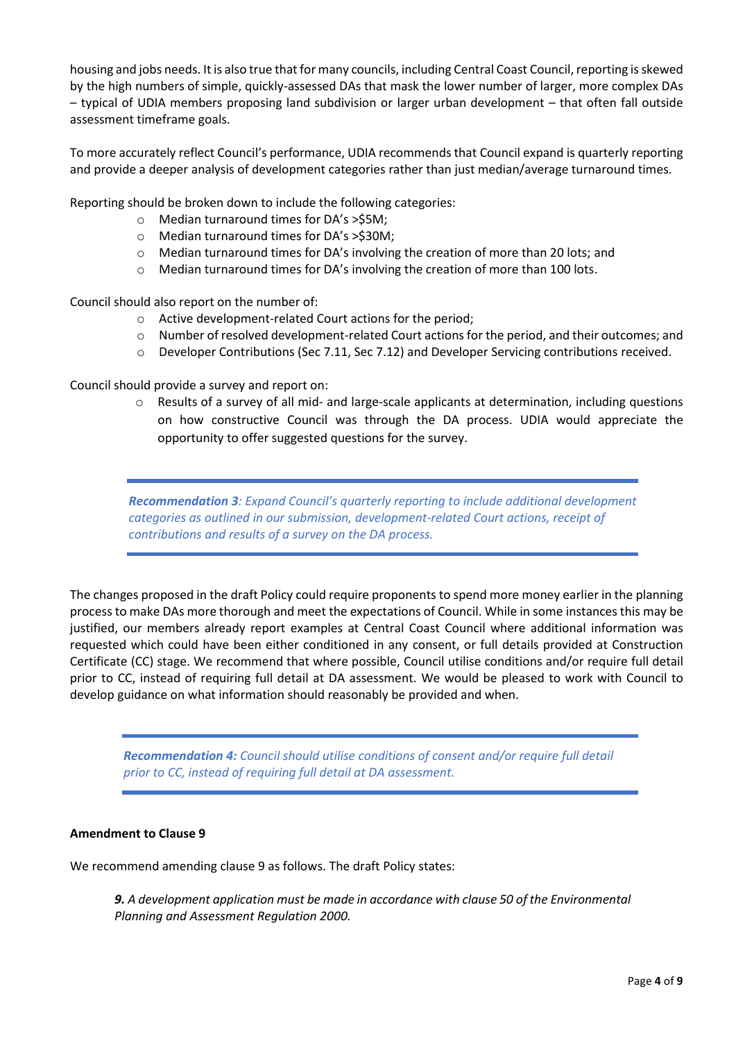housing and jobs needs. It is also true that for many councils, including Central Coast Council, reporting is skewed by the high numbers of simple, quickly-assessed DAs that mask the lower number of larger, more complex DAs – typical of UDIA members proposing land subdivision or larger urban development – that often fall outside assessment timeframe goals.

To more accurately reflect Council's performance, UDIA recommends that Council expand is quarterly reporting and provide a deeper analysis of development categories rather than just median/average turnaround times.

Reporting should be broken down to include the following categories:

- o Median turnaround times for DA's >\$5M;
- o Median turnaround times for DA's >\$30M;
- $\circ$  Median turnaround times for DA's involving the creation of more than 20 lots; and
- o Median turnaround times for DA's involving the creation of more than 100 lots.

Council should also report on the number of:

- o Active development-related Court actions for the period;
- o Number of resolved development-related Court actions for the period, and their outcomes; and
- o Developer Contributions (Sec 7.11, Sec 7.12) and Developer Servicing contributions received.

Council should provide a survey and report on:

o Results of a survey of all mid- and large-scale applicants at determination, including questions on how constructive Council was through the DA process. UDIA would appreciate the opportunity to offer suggested questions for the survey.

*Recommendation 3: Expand Council's quarterly reporting to include additional development categories as outlined in our submission, development-related Court actions, receipt of contributions and results of a survey on the DA process.*

The changes proposed in the draft Policy could require proponents to spend more money earlier in the planning process to make DAs more thorough and meet the expectations of Council. While in some instances this may be justified, our members already report examples at Central Coast Council where additional information was requested which could have been either conditioned in any consent, or full details provided at Construction Certificate (CC) stage. We recommend that where possible, Council utilise conditions and/or require full detail prior to CC, instead of requiring full detail at DA assessment. We would be pleased to work with Council to develop guidance on what information should reasonably be provided and when.

*Recommendation 4: Council should utilise conditions of consent and/or require full detail prior to CC, instead of requiring full detail at DA assessment.*

# **Amendment to Clause 9**

We recommend amending clause 9 as follows. The draft Policy states:

*9. A development application must be made in accordance with clause 50 of the Environmental Planning and Assessment Regulation 2000.*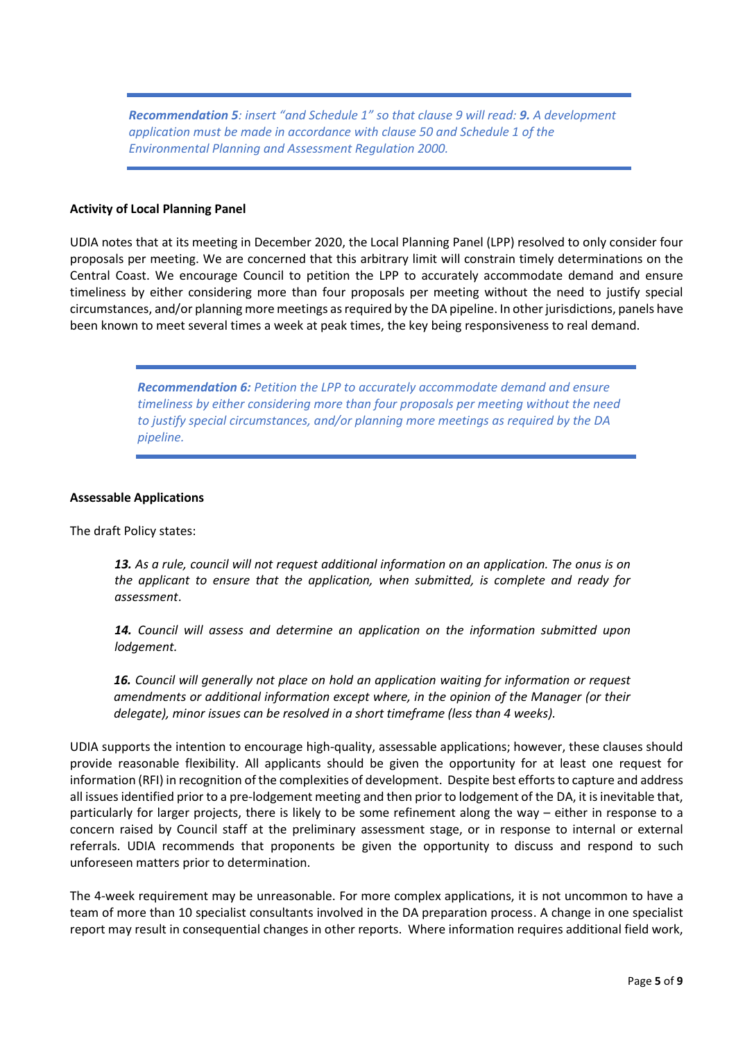*Recommendation 5: insert "and Schedule 1" so that clause 9 will read: 9. A development application must be made in accordance with clause 50 and Schedule 1 of the Environmental Planning and Assessment Regulation 2000.*

#### **Activity of Local Planning Panel**

UDIA notes that at its meeting in December 2020, the Local Planning Panel (LPP) resolved to only consider four proposals per meeting. We are concerned that this arbitrary limit will constrain timely determinations on the Central Coast. We encourage Council to petition the LPP to accurately accommodate demand and ensure timeliness by either considering more than four proposals per meeting without the need to justify special circumstances, and/or planning more meetings as required by the DA pipeline. In other jurisdictions, panels have been known to meet several times a week at peak times, the key being responsiveness to real demand.

> *Recommendation 6: Petition the LPP to accurately accommodate demand and ensure timeliness by either considering more than four proposals per meeting without the need to justify special circumstances, and/or planning more meetings as required by the DA pipeline.*

#### **Assessable Applications**

The draft Policy states:

*13. As a rule, council will not request additional information on an application. The onus is on the applicant to ensure that the application, when submitted, is complete and ready for assessment*.

*14. Council will assess and determine an application on the information submitted upon lodgement.*

*16. Council will generally not place on hold an application waiting for information or request amendments or additional information except where, in the opinion of the Manager (or their delegate), minor issues can be resolved in a short timeframe (less than 4 weeks).*

UDIA supports the intention to encourage high-quality, assessable applications; however, these clauses should provide reasonable flexibility. All applicants should be given the opportunity for at least one request for information (RFI) in recognition of the complexities of development. Despite best efforts to capture and address all issues identified prior to a pre-lodgement meeting and then prior to lodgement of the DA, it is inevitable that, particularly for larger projects, there is likely to be some refinement along the way – either in response to a concern raised by Council staff at the preliminary assessment stage, or in response to internal or external referrals. UDIA recommends that proponents be given the opportunity to discuss and respond to such unforeseen matters prior to determination.

The 4-week requirement may be unreasonable. For more complex applications, it is not uncommon to have a team of more than 10 specialist consultants involved in the DA preparation process. A change in one specialist report may result in consequential changes in other reports. Where information requires additional field work,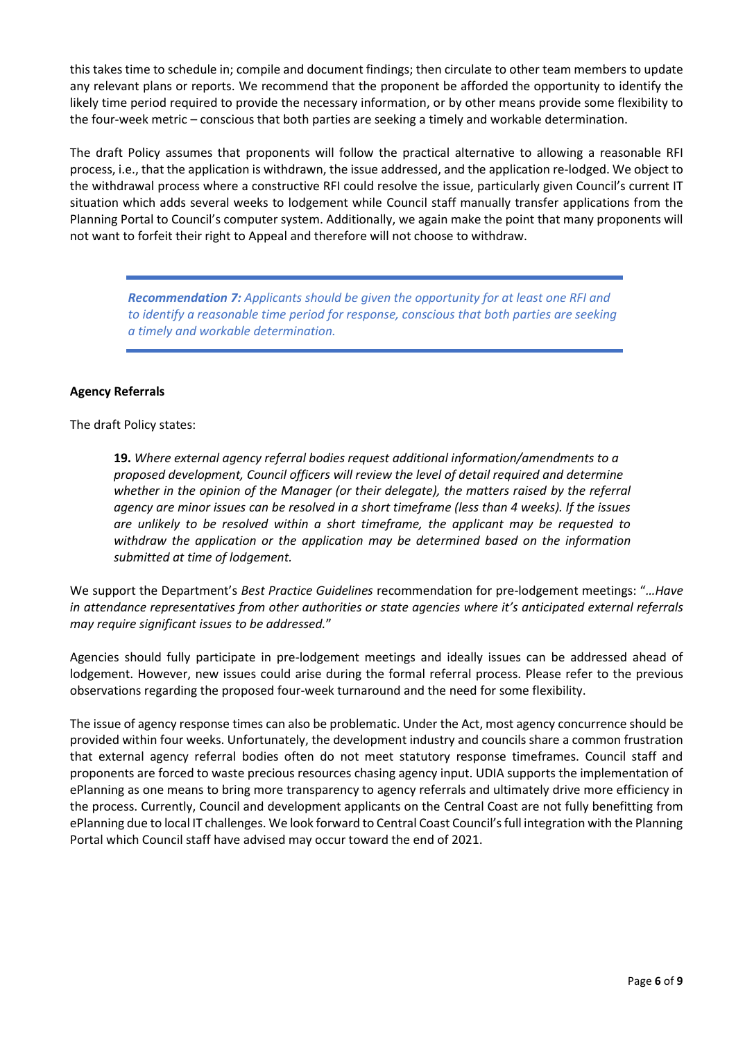this takes time to schedule in; compile and document findings; then circulate to other team members to update any relevant plans or reports. We recommend that the proponent be afforded the opportunity to identify the likely time period required to provide the necessary information, or by other means provide some flexibility to the four-week metric – conscious that both parties are seeking a timely and workable determination.

The draft Policy assumes that proponents will follow the practical alternative to allowing a reasonable RFI process, i.e., that the application is withdrawn, the issue addressed, and the application re-lodged. We object to the withdrawal process where a constructive RFI could resolve the issue, particularly given Council's current IT situation which adds several weeks to lodgement while Council staff manually transfer applications from the Planning Portal to Council's computer system. Additionally, we again make the point that many proponents will not want to forfeit their right to Appeal and therefore will not choose to withdraw.

*Recommendation 7: Applicants should be given the opportunity for at least one RFI and to identify a reasonable time period for response, conscious that both parties are seeking a timely and workable determination.*

# **Agency Referrals**

The draft Policy states:

**19.** *Where external agency referral bodies request additional information/amendments to a proposed development, Council officers will review the level of detail required and determine whether in the opinion of the Manager (or their delegate), the matters raised by the referral agency are minor issues can be resolved in a short timeframe (less than 4 weeks). If the issues are unlikely to be resolved within a short timeframe, the applicant may be requested to withdraw the application or the application may be determined based on the information submitted at time of lodgement.*

We support the Department's *Best Practice Guidelines* recommendation for pre-lodgement meetings: "*…Have in attendance representatives from other authorities or state agencies where it's anticipated external referrals may require significant issues to be addressed.*"

Agencies should fully participate in pre-lodgement meetings and ideally issues can be addressed ahead of lodgement. However, new issues could arise during the formal referral process. Please refer to the previous observations regarding the proposed four-week turnaround and the need for some flexibility.

The issue of agency response times can also be problematic. Under the Act, most agency concurrence should be provided within four weeks. Unfortunately, the development industry and councils share a common frustration that external agency referral bodies often do not meet statutory response timeframes. Council staff and proponents are forced to waste precious resources chasing agency input. UDIA supports the implementation of ePlanning as one means to bring more transparency to agency referrals and ultimately drive more efficiency in the process. Currently, Council and development applicants on the Central Coast are not fully benefitting from ePlanning due to local IT challenges. We look forward to Central Coast Council's full integration with the Planning Portal which Council staff have advised may occur toward the end of 2021.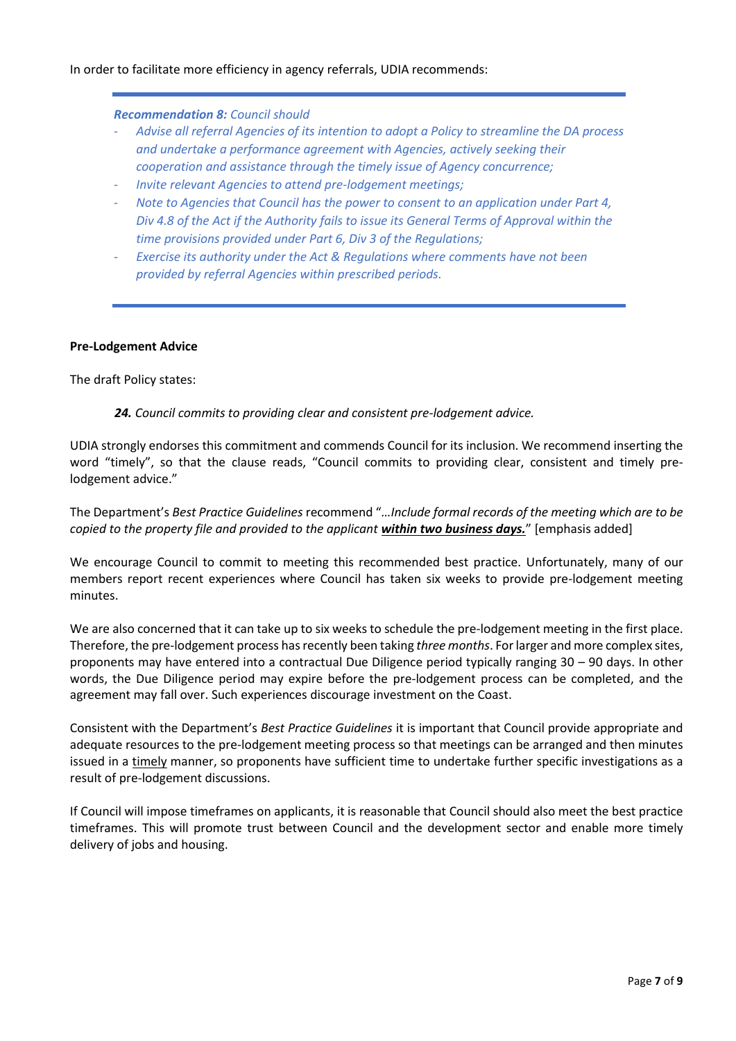# In order to facilitate more efficiency in agency referrals, UDIA recommends:

## *Recommendation 8: Council should*

- *Advise all referral Agencies of its intention to adopt a Policy to streamline the DA process and undertake a performance agreement with Agencies, actively seeking their cooperation and assistance through the timely issue of Agency concurrence;*
- *Invite relevant Agencies to attend pre-lodgement meetings;*
- *Note to Agencies that Council has the power to consent to an application under Part 4, Div 4.8 of the Act if the Authority fails to issue its General Terms of Approval within the time provisions provided under Part 6, Div 3 of the Regulations;*
- *Exercise its authority under the Act & Regulations where comments have not been provided by referral Agencies within prescribed periods.*

# **Pre-Lodgement Advice**

The draft Policy states:

*24. Council commits to providing clear and consistent pre-lodgement advice.*

UDIA strongly endorses this commitment and commends Council for its inclusion. We recommend inserting the word "timely", so that the clause reads, "Council commits to providing clear, consistent and timely prelodgement advice."

The Department's *Best Practice Guidelines* recommend "*…Include formal records of the meeting which are to be copied to the property file and provided to the applicant within two business days.*" [emphasis added]

We encourage Council to commit to meeting this recommended best practice. Unfortunately, many of our members report recent experiences where Council has taken six weeks to provide pre-lodgement meeting minutes.

We are also concerned that it can take up to six weeks to schedule the pre-lodgement meeting in the first place. Therefore, the pre-lodgement process has recently been taking *three months*. For larger and more complex sites, proponents may have entered into a contractual Due Diligence period typically ranging 30 – 90 days. In other words, the Due Diligence period may expire before the pre-lodgement process can be completed, and the agreement may fall over. Such experiences discourage investment on the Coast.

Consistent with the Department's *Best Practice Guidelines* it is important that Council provide appropriate and adequate resources to the pre-lodgement meeting process so that meetings can be arranged and then minutes issued in a timely manner, so proponents have sufficient time to undertake further specific investigations as a result of pre-lodgement discussions.

If Council will impose timeframes on applicants, it is reasonable that Council should also meet the best practice timeframes. This will promote trust between Council and the development sector and enable more timely delivery of jobs and housing.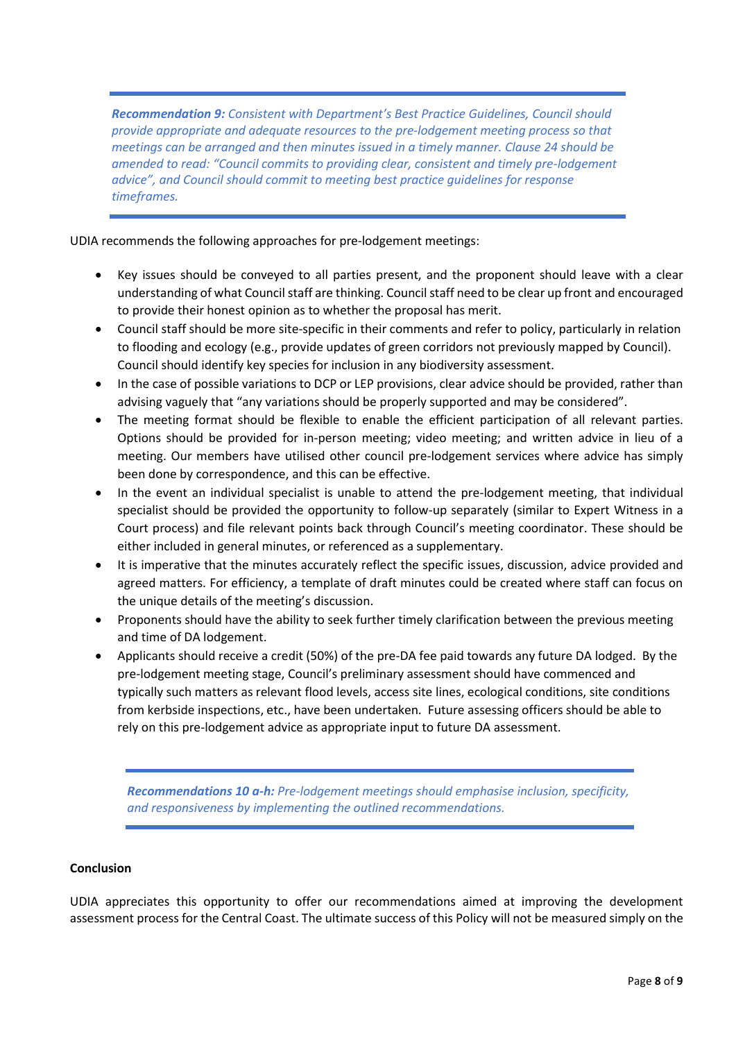*Recommendation 9: Consistent with Department's Best Practice Guidelines, Council should provide appropriate and adequate resources to the pre-lodgement meeting process so that meetings can be arranged and then minutes issued in a timely manner. Clause 24 should be amended to read: "Council commits to providing clear, consistent and timely pre-lodgement advice", and Council should commit to meeting best practice guidelines for response timeframes.*

UDIA recommends the following approaches for pre-lodgement meetings:

- Key issues should be conveyed to all parties present, and the proponent should leave with a clear understanding of what Council staff are thinking. Council staff need to be clear up front and encouraged to provide their honest opinion as to whether the proposal has merit.
- Council staff should be more site-specific in their comments and refer to policy, particularly in relation to flooding and ecology (e.g., provide updates of green corridors not previously mapped by Council). Council should identify key species for inclusion in any biodiversity assessment.
- In the case of possible variations to DCP or LEP provisions, clear advice should be provided, rather than advising vaguely that "any variations should be properly supported and may be considered".
- The meeting format should be flexible to enable the efficient participation of all relevant parties. Options should be provided for in-person meeting; video meeting; and written advice in lieu of a meeting. Our members have utilised other council pre-lodgement services where advice has simply been done by correspondence, and this can be effective.
- In the event an individual specialist is unable to attend the pre-lodgement meeting, that individual specialist should be provided the opportunity to follow-up separately (similar to Expert Witness in a Court process) and file relevant points back through Council's meeting coordinator. These should be either included in general minutes, or referenced as a supplementary.
- It is imperative that the minutes accurately reflect the specific issues, discussion, advice provided and agreed matters. For efficiency, a template of draft minutes could be created where staff can focus on the unique details of the meeting's discussion.
- Proponents should have the ability to seek further timely clarification between the previous meeting and time of DA lodgement.
- Applicants should receive a credit (50%) of the pre-DA fee paid towards any future DA lodged. By the pre-lodgement meeting stage, Council's preliminary assessment should have commenced and typically such matters as relevant flood levels, access site lines, ecological conditions, site conditions from kerbside inspections, etc., have been undertaken. Future assessing officers should be able to rely on this pre-lodgement advice as appropriate input to future DA assessment.

*Recommendations 10 a-h: Pre-lodgement meetings should emphasise inclusion, specificity, and responsiveness by implementing the outlined recommendations.*

# **Conclusion**

UDIA appreciates this opportunity to offer our recommendations aimed at improving the development assessment process for the Central Coast. The ultimate success of this Policy will not be measured simply on the